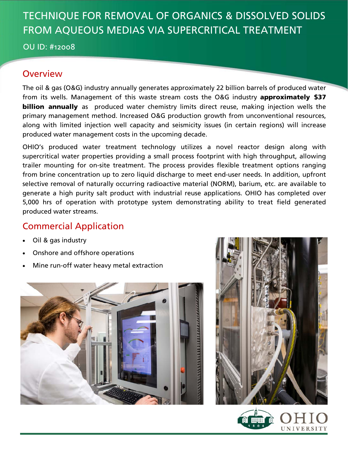# TECHNIQUE FOR REMOVAL OF ORGANICS & DISSOLVED SOLIDS FROM AQUEOUS MEDIAS VIA SUPERCRITICAL TREATMENT

OU ID: #12008

### **Overview**

The oil & gas (O&G) industry annually generates approximately 22 billion barrels of produced water from its wells. Management of this waste stream costs the O&G industry **approximately \$37 billion annually** as produced water chemistry limits direct reuse, making injection wells the primary management method. Increased O&G production growth from unconventional resources, along with limited injection well capacity and seismicity issues (in certain regions) will increase produced water management costs in the upcoming decade.

OHIO's produced water treatment technology utilizes a novel reactor design along with supercritical water properties providing a small process footprint with high throughput, allowing trailer mounting for on-site treatment. The process provides flexible treatment options ranging from brine concentration up to zero liquid discharge to meet end-user needs. In addition, upfront selective removal of naturally occurring radioactive material (NORM), barium, etc. are available to generate a high purity salt product with industrial reuse applications. OHIO has completed over 5,000 hrs of operation with prototype system demonstrating ability to treat field generated produced water streams.

## Commercial Application

- Oil & gas industry
- Onshore and offshore operations
- Mine run-off water heavy metal extraction





UNIVERSITY